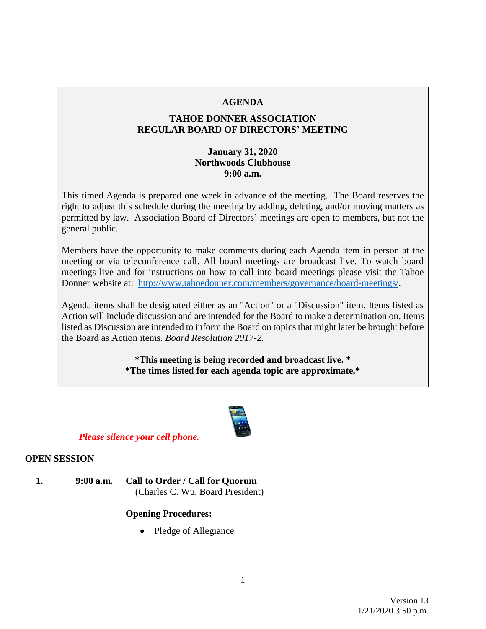### **AGENDA**

### **TAHOE DONNER ASSOCIATION REGULAR BOARD OF DIRECTORS' MEETING**

### **January 31, 2020 Northwoods Clubhouse 9:00 a.m.**

This timed Agenda is prepared one week in advance of the meeting. The Board reserves the right to adjust this schedule during the meeting by adding, deleting, and/or moving matters as permitted by law. Association Board of Directors' meetings are open to members, but not the general public.

Members have the opportunity to make comments during each Agenda item in person at the meeting or via teleconference call. All board meetings are broadcast live. To watch board meetings live and for instructions on how to call into board meetings please visit the Tahoe Donner website at: [http://www.tahoedonner.com/members/governance/board-meetings/.](http://www.tahoedonner.com/members/governance/board-meetings/)

Agenda items shall be designated either as an "Action" or a "Discussion" item. Items listed as Action will include discussion and are intended for the Board to make a determination on. Items listed as Discussion are intended to inform the Board on topics that might later be brought before the Board as Action items. *Board Resolution 2017-2.*

> **\*This meeting is being recorded and broadcast live. \* \*The times listed for each agenda topic are approximate.\***



## *Please silence your cell phone.*

### **OPEN SESSION**

**1. 9:00 a.m. Call to Order / Call for Quorum** (Charles C. Wu, Board President)

### **Opening Procedures:**

• Pledge of Allegiance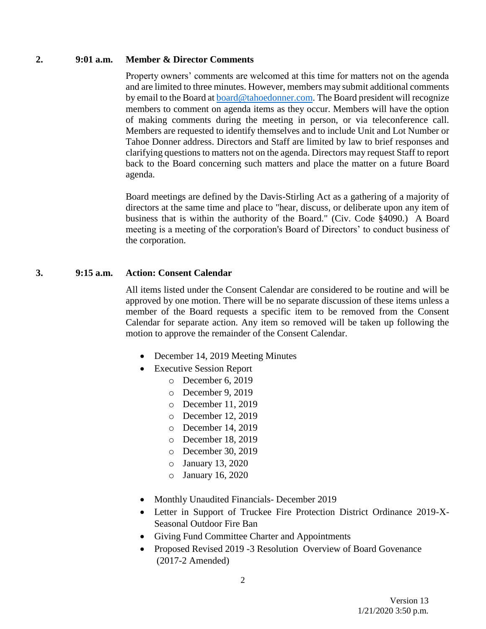#### **2. 9:01 a.m. Member & Director Comments**

Property owners' comments are welcomed at this time for matters not on the agenda and are limited to three minutes. However, members may submit additional comments by email to the Board at [board@tahoedonner.com.](mailto:board@tahoedonner.com) The Board president will recognize members to comment on agenda items as they occur. Members will have the option of making comments during the meeting in person, or via teleconference call. Members are requested to identify themselves and to include Unit and Lot Number or Tahoe Donner address. Directors and Staff are limited by law to brief responses and clarifying questions to matters not on the agenda. Directors may request Staff to report back to the Board concerning such matters and place the matter on a future Board agenda.

Board meetings are defined by the Davis-Stirling Act as a gathering of a majority of directors at the same time and place to "hear, discuss, or deliberate upon any item of business that is within the authority of the Board." (Civ. Code §4090.) A Board meeting is a meeting of the corporation's Board of Directors' to conduct business of the corporation.

### **3. 9:15 a.m. Action: Consent Calendar**

All items listed under the Consent Calendar are considered to be routine and will be approved by one motion. There will be no separate discussion of these items unless a member of the Board requests a specific item to be removed from the Consent Calendar for separate action. Any item so removed will be taken up following the motion to approve the remainder of the Consent Calendar.

- December 14, 2019 Meeting Minutes
- Executive Session Report
	- o December 6, 2019
	- o December 9, 2019
	- o December 11, 2019
	- o December 12, 2019
	- o December 14, 2019
	- o December 18, 2019
	- o December 30, 2019
	- o January 13, 2020
	- o January 16, 2020
- Monthly Unaudited Financials- December 2019
- Letter in Support of Truckee Fire Protection District Ordinance 2019-X-Seasonal Outdoor Fire Ban
- Giving Fund Committee Charter and Appointments
- Proposed Revised 2019 -3 Resolution Overview of Board Govenance (2017-2 Amended)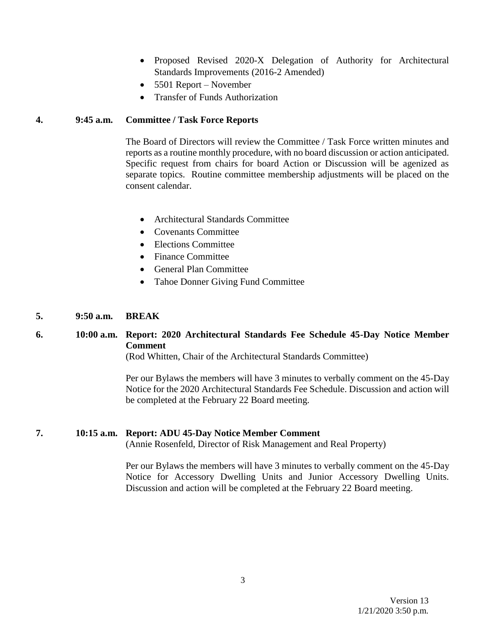- Proposed Revised 2020-X Delegation of Authority for Architectural Standards Improvements (2016-2 Amended)
- 5501 Report November
- Transfer of Funds Authorization

### **4. 9:45 a.m. Committee / Task Force Reports**

The Board of Directors will review the Committee / Task Force written minutes and reports as a routine monthly procedure, with no board discussion or action anticipated. Specific request from chairs for board Action or Discussion will be agenized as separate topics. Routine committee membership adjustments will be placed on the consent calendar.

- Architectural Standards Committee
- Covenants Committee
- Elections Committee
- Finance Committee
- General Plan Committee
- Tahoe Donner Giving Fund Committee

#### **5. 9:50 a.m. BREAK**

## **6. 10:00 a.m. Report: 2020 Architectural Standards Fee Schedule 45-Day Notice Member Comment**

(Rod Whitten, Chair of the Architectural Standards Committee)

Per our Bylaws the members will have 3 minutes to verbally comment on the 45-Day Notice for the 2020 Architectural Standards Fee Schedule. Discussion and action will be completed at the February 22 Board meeting.

#### **7. 10:15 a.m. Report: ADU 45-Day Notice Member Comment**

(Annie Rosenfeld, Director of Risk Management and Real Property)

Per our Bylaws the members will have 3 minutes to verbally comment on the 45-Day Notice for Accessory Dwelling Units and Junior Accessory Dwelling Units. Discussion and action will be completed at the February 22 Board meeting.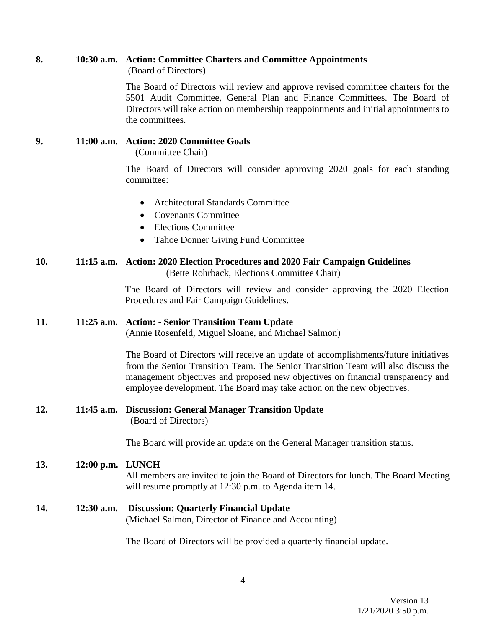# **8. 10:30 a.m. Action: Committee Charters and Committee Appointments**

(Board of Directors)

The Board of Directors will review and approve revised committee charters for the 5501 Audit Committee, General Plan and Finance Committees. The Board of Directors will take action on membership reappointments and initial appointments to the committees.

## **9. 11:00 a.m. Action: 2020 Committee Goals**

(Committee Chair)

The Board of Directors will consider approving 2020 goals for each standing committee:

- Architectural Standards Committee
- Covenants Committee
- Elections Committee
- Tahoe Donner Giving Fund Committee

### **10. 11:15 a.m. Action: 2020 Election Procedures and 2020 Fair Campaign Guidelines** (Bette Rohrback, Elections Committee Chair)

The Board of Directors will review and consider approving the 2020 Election Procedures and Fair Campaign Guidelines.

## **11. 11:25 a.m. Action: - Senior Transition Team Update**

(Annie Rosenfeld, Miguel Sloane, and Michael Salmon)

The Board of Directors will receive an update of accomplishments/future initiatives from the Senior Transition Team. The Senior Transition Team will also discuss the management objectives and proposed new objectives on financial transparency and employee development. The Board may take action on the new objectives.

### **12. 11:45 a.m. Discussion: General Manager Transition Update** (Board of Directors)

The Board will provide an update on the General Manager transition status.

## **13. 12:00 p.m. LUNCH**

All members are invited to join the Board of Directors for lunch. The Board Meeting will resume promptly at 12:30 p.m. to Agenda item 14.

**14. 12:30 a.m. Discussion: Quarterly Financial Update** (Michael Salmon, Director of Finance and Accounting)

The Board of Directors will be provided a quarterly financial update.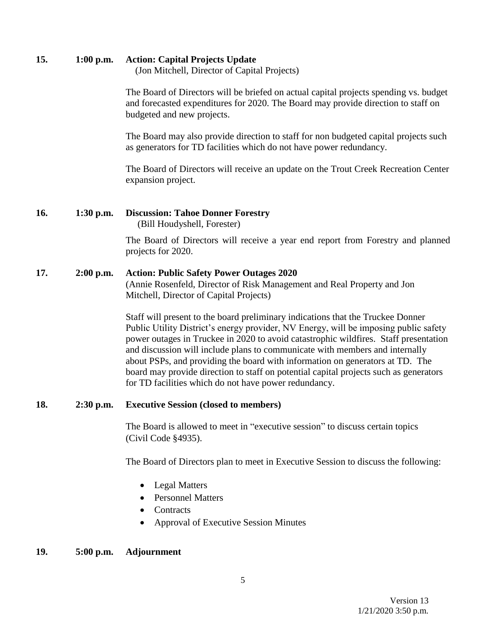## **15. 1:00 p.m. Action: Capital Projects Update**

(Jon Mitchell, Director of Capital Projects)

The Board of Directors will be briefed on actual capital projects spending vs. budget and forecasted expenditures for 2020. The Board may provide direction to staff on budgeted and new projects.

The Board may also provide direction to staff for non budgeted capital projects such as generators for TD facilities which do not have power redundancy.

The Board of Directors will receive an update on the Trout Creek Recreation Center expansion project.

## **16. 1:30 p.m. Discussion: Tahoe Donner Forestry**

(Bill Houdyshell, Forester)

The Board of Directors will receive a year end report from Forestry and planned projects for 2020.

## **17. 2:00 p.m. Action: Public Safety Power Outages 2020**

(Annie Rosenfeld, Director of Risk Management and Real Property and Jon Mitchell, Director of Capital Projects)

Staff will present to the board preliminary indications that the Truckee Donner Public Utility District's energy provider, NV Energy, will be imposing public safety power outages in Truckee in 2020 to avoid catastrophic wildfires. Staff presentation and discussion will include plans to communicate with members and internally about PSPs, and providing the board with information on generators at TD. The board may provide direction to staff on potential capital projects such as generators for TD facilities which do not have power redundancy.

## **18. 2:30 p.m. Executive Session (closed to members)**

The Board is allowed to meet in "executive session" to discuss certain topics (Civil Code §4935).

The Board of Directors plan to meet in Executive Session to discuss the following:

- Legal Matters
- Personnel Matters
- Contracts
- Approval of Executive Session Minutes

## **19. 5:00 p.m. Adjournment**